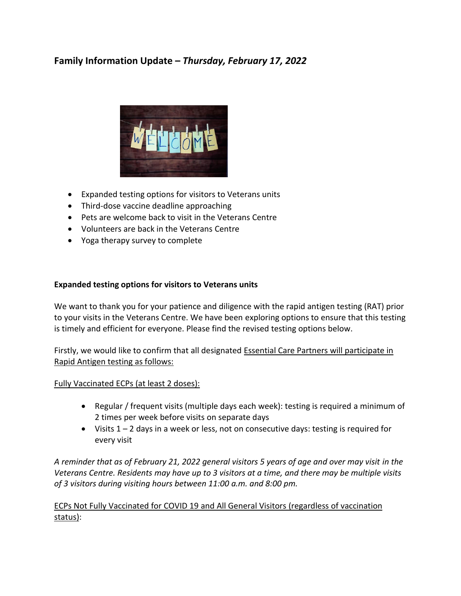# **Family Information Update –** *Thursday, February 17, 2022*



- Expanded testing options for visitors to Veterans units
- Third-dose vaccine deadline approaching
- Pets are welcome back to visit in the Veterans Centre
- Volunteers are back in the Veterans Centre
- Yoga therapy survey to complete

## **Expanded testing options for visitors to Veterans units**

We want to thank you for your patience and diligence with the rapid antigen testing (RAT) prior to your visits in the Veterans Centre. We have been exploring options to ensure that this testing is timely and efficient for everyone. Please find the revised testing options below.

Firstly, we would like to confirm that all designated Essential Care Partners will participate in Rapid Antigen testing as follows:

## Fully Vaccinated ECPs (at least 2 doses):

- Regular / frequent visits (multiple days each week): testing is required a minimum of 2 times per week before visits on separate days
- $\bullet$  Visits 1 2 days in a week or less, not on consecutive days: testing is required for every visit

*A reminder that as of February 21, 2022 general visitors 5 years of age and over may visit in the Veterans Centre. Residents may have up to 3 visitors at a time, and there may be multiple visits of 3 visitors during visiting hours between 11:00 a.m. and 8:00 pm.* 

ECPs Not Fully Vaccinated for COVID 19 and All General Visitors (regardless of vaccination status):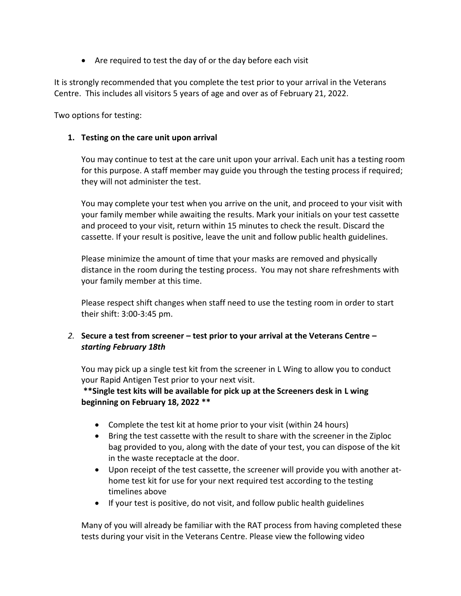Are required to test the day of or the day before each visit

It is strongly recommended that you complete the test prior to your arrival in the Veterans Centre. This includes all visitors 5 years of age and over as of February 21, 2022.

Two options for testing:

## **1. Testing on the care unit upon arrival**

You may continue to test at the care unit upon your arrival. Each unit has a testing room for this purpose. A staff member may guide you through the testing process if required; they will not administer the test.

You may complete your test when you arrive on the unit, and proceed to your visit with your family member while awaiting the results. Mark your initials on your test cassette and proceed to your visit, return within 15 minutes to check the result. Discard the cassette. If your result is positive, leave the unit and follow public health guidelines.

Please minimize the amount of time that your masks are removed and physically distance in the room during the testing process. You may not share refreshments with your family member at this time.

Please respect shift changes when staff need to use the testing room in order to start their shift: 3:00-3:45 pm.

# *2.* **Secure a test from screener – test prior to your arrival at the Veterans Centre –** *starting February 18th*

You may pick up a single test kit from the screener in L Wing to allow you to conduct your Rapid Antigen Test prior to your next visit.

**\*\*Single test kits will be available for pick up at the Screeners desk in L wing beginning on February 18, 2022 \*\***

- Complete the test kit at home prior to your visit (within 24 hours)
- Bring the test cassette with the result to share with the screener in the Ziploc bag provided to you, along with the date of your test, you can dispose of the kit in the waste receptacle at the door.
- Upon receipt of the test cassette, the screener will provide you with another athome test kit for use for your next required test according to the testing timelines above
- If your test is positive, do not visit, and follow public health guidelines

Many of you will already be familiar with the RAT process from having completed these tests during your visit in the Veterans Centre. Please view the following video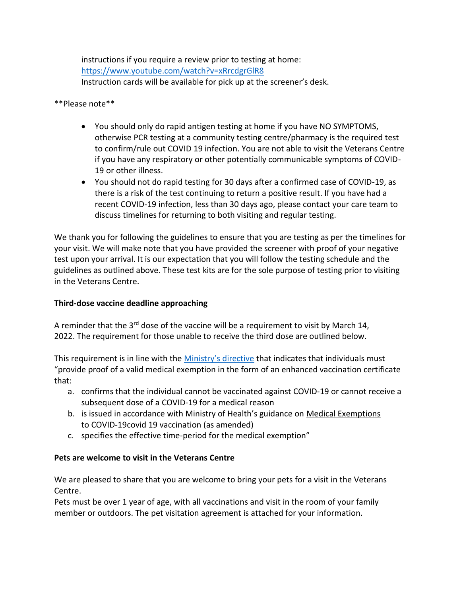instructions if you require a review prior to testing at home: <https://www.youtube.com/watch?v=xRrcdgrGlR8> Instruction cards will be available for pick up at the screener's desk.

## \*\*Please note\*\*

- You should only do rapid antigen testing at home if you have NO SYMPTOMS, otherwise PCR testing at a community testing centre/pharmacy is the required test to confirm/rule out COVID 19 infection. You are not able to visit the Veterans Centre if you have any respiratory or other potentially communicable symptoms of COVID-19 or other illness.
- You should not do rapid testing for 30 days after a confirmed case of COVID-19, as there is a risk of the test continuing to return a positive result. If you have had a recent COVID-19 infection, less than 30 days ago, please contact your care team to discuss timelines for returning to both visiting and regular testing.

We thank you for following the guidelines to ensure that you are testing as per the timelines for your visit. We will make note that you have provided the screener with proof of your negative test upon your arrival. It is our expectation that you will follow the testing schedule and the guidelines as outlined above. These test kits are for the sole purpose of testing prior to visiting in the Veterans Centre.

# **Third-dose vaccine deadline approaching**

A reminder that the  $3<sup>rd</sup>$  dose of the vaccine will be a requirement to visit by March 14, 2022. The requirement for those unable to receive the third dose are outlined below.

This requirement is in line with the [Ministry's directive](https://www.ontario.ca/page/ministers-directive-long-term-care-home-covid-19-immunization-policy) that indicates that individuals must "provide proof of a valid medical exemption in the form of an enhanced vaccination certificate that:

- a. confirms that the individual cannot be vaccinated against COVID-19 or cannot receive a subsequent dose of a COVID-19 for a medical reason
- b. is issued in accordance with Ministry of Health's guidance on Medical Exemptions to [COVID-19covid 19](https://health.gov.on.ca/en/pro/programs/publichealth/coronavirus/docs/vaccine/medical_exemptions_to_vaccination.pdf) vaccination (as amended)
- c. specifies the effective time-period for the medical exemption"

# **Pets are welcome to visit in the Veterans Centre**

We are pleased to share that you are welcome to bring your pets for a visit in the Veterans Centre.

Pets must be over 1 year of age, with all vaccinations and visit in the room of your family member or outdoors. The pet visitation agreement is attached for your information.